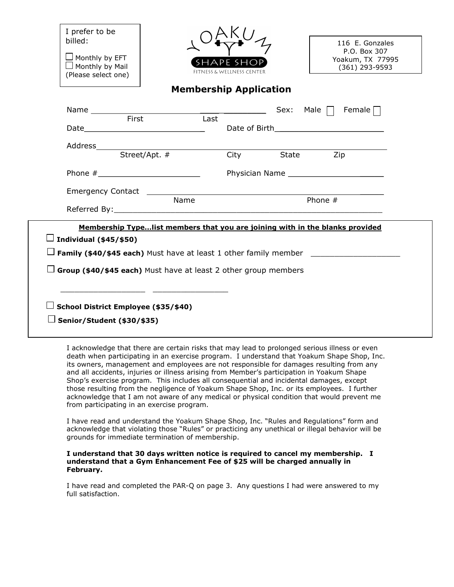I prefer to be billed:

 $\square$  Monthly by EFT  $\Box$  Monthly by Mail (Please select one)



116 E. Gonzales P.O. Box 307 Yoakum, TX 77995 (361) 293-9593

## Membership Application

|                                                                        |       |      |      |            | Sex: Male $\Box$ Female $\Box$                                               |  |
|------------------------------------------------------------------------|-------|------|------|------------|------------------------------------------------------------------------------|--|
|                                                                        | First |      | Last |            |                                                                              |  |
|                                                                        |       |      |      |            |                                                                              |  |
|                                                                        |       |      |      |            |                                                                              |  |
|                                                                        |       |      |      | City State | Zip                                                                          |  |
|                                                                        |       |      |      |            | Physician Name                                                               |  |
|                                                                        |       |      |      |            |                                                                              |  |
|                                                                        |       | Name |      |            | Phone $#$                                                                    |  |
|                                                                        |       |      |      |            |                                                                              |  |
|                                                                        |       |      |      |            | Membership Typelist members that you are joining with in the blanks provided |  |
| $\Box$ Individual (\$45/\$50)                                          |       |      |      |            |                                                                              |  |
|                                                                        |       |      |      |            |                                                                              |  |
| $\Box$ Group (\$40/\$45 each) Must have at least 2 other group members |       |      |      |            |                                                                              |  |
|                                                                        |       |      |      |            |                                                                              |  |
|                                                                        |       |      |      |            |                                                                              |  |
|                                                                        |       |      |      |            |                                                                              |  |
| School District Employee (\$35/\$40)                                   |       |      |      |            |                                                                              |  |

I acknowledge that there are certain risks that may lead to prolonged serious illness or even death when participating in an exercise program. I understand that Yoakum Shape Shop, Inc. its owners, management and employees are not responsible for damages resulting from any and all accidents, injuries or illness arising from Member's participation in Yoakum Shape Shop's exercise program. This includes all consequential and incidental damages, except those resulting from the negligence of Yoakum Shape Shop, Inc. or its employees. I further acknowledge that I am not aware of any medical or physical condition that would prevent me from participating in an exercise program.

I have read and understand the Yoakum Shape Shop, Inc. "Rules and Regulations" form and acknowledge that violating those "Rules" or practicing any unethical or illegal behavior will be grounds for immediate termination of membership.

## I understand that 30 days written notice is required to cancel my membership. I understand that a Gym Enhancement Fee of \$25 will be charged annually in February.

I have read and completed the PAR-Q on page 3. Any questions I had were answered to my full satisfaction.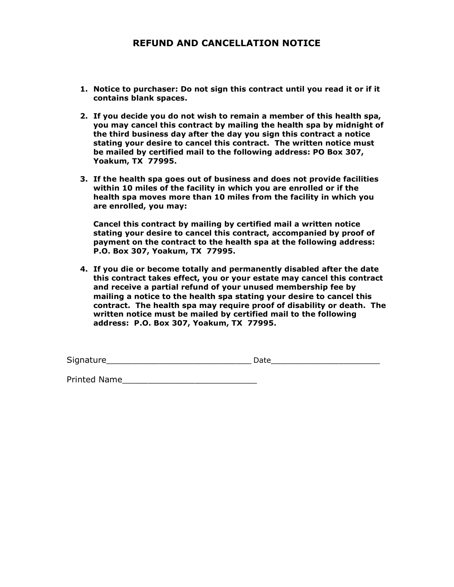## REFUND AND CANCELLATION NOTICE

- 1. Notice to purchaser: Do not sign this contract until you read it or if it contains blank spaces.
- 2. If you decide you do not wish to remain a member of this health spa, you may cancel this contract by mailing the health spa by midnight of the third business day after the day you sign this contract a notice stating your desire to cancel this contract. The written notice must be mailed by certified mail to the following address: PO Box 307, Yoakum, TX 77995.
- 3. If the health spa goes out of business and does not provide facilities within 10 miles of the facility in which you are enrolled or if the health spa moves more than 10 miles from the facility in which you are enrolled, you may:

Cancel this contract by mailing by certified mail a written notice stating your desire to cancel this contract, accompanied by proof of payment on the contract to the health spa at the following address: P.O. Box 307, Yoakum, TX 77995.

4. If you die or become totally and permanently disabled after the date this contract takes effect, you or your estate may cancel this contract and receive a partial refund of your unused membership fee by mailing a notice to the health spa stating your desire to cancel this contract. The health spa may require proof of disability or death. The written notice must be mailed by certified mail to the following address: P.O. Box 307, Yoakum, TX 77995.

| <b>.</b><br>1.140<br>Sio <sup>.</sup> |  |
|---------------------------------------|--|
|                                       |  |

Printed Name